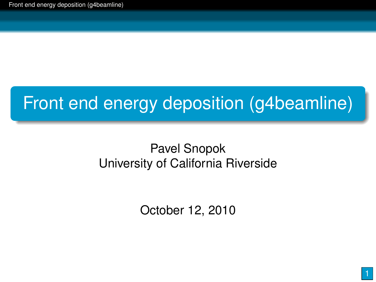# Front end energy deposition (g4beamline)

#### Pavel Snopok University of California Riverside

<span id="page-0-0"></span>October 12, 2010

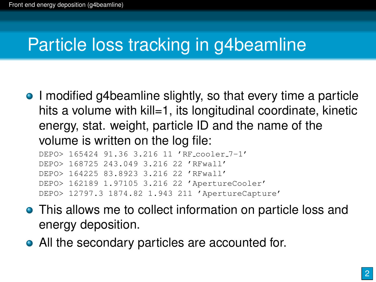### Particle loss tracking in g4beamline

• I modified g4beamline slightly, so that every time a particle hits a volume with kill=1, its longitudinal coordinate, kinetic energy, stat. weight, particle ID and the name of the volume is written on the log file:

DEPO> 165424 91.36 3.216 11 'RF cooler 7-1' DEPO> 168725 243.049 3.216 22 'RFwall' DEPO> 164225 83.8923 3.216 22 'RFwall' DEPO> 162189 1.97105 3.216 22 'ApertureCooler' DEPO> 12797.3 1874.82 1.943 211 'ApertureCapture'

- **•** This allows me to collect information on particle loss and energy deposition.
- All the secondary particles are accounted for.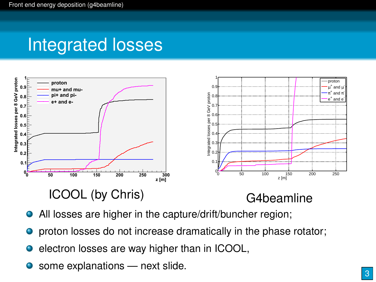#### Integrated losses



#### ICOOL (by Chris)

- All losses are higher in the capture/drift/buncher region;
- proton losses do not increase dramatically in the phase rotator; 0
- **e** electron losses are way higher than in ICOOL,
- some explanations next slide.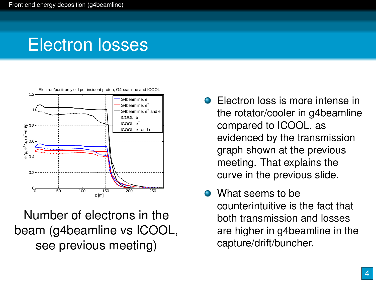## Electron losses



Number of electrons in the beam (g4beamline vs ICOOL, see previous meeting)

- **Electron loss is more intense in** the rotator/cooler in g4beamline compared to ICOOL, as evidenced by the transmission graph shown at the previous meeting. That explains the curve in the previous slide.
- What seems to be counterintuitive is the fact that both transmission and losses are higher in g4beamline in the capture/drift/buncher.

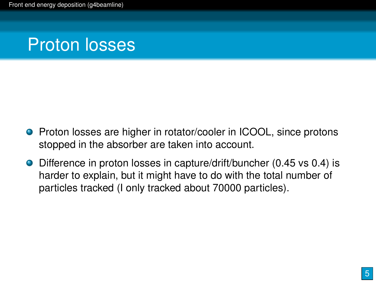### Proton losses

- **•** Proton losses are higher in rotator/cooler in ICOOL, since protons stopped in the absorber are taken into account.
- Difference in proton losses in capture/drift/buncher (0.45 vs 0.4) is harder to explain, but it might have to do with the total number of particles tracked (I only tracked about 70000 particles).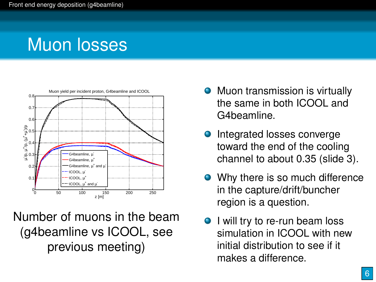# Muon losses



Number of muons in the beam (g4beamline vs ICOOL, see previous meeting)

- **•** Muon transmission is virtually the same in both ICOOL and G4beamline.
- **o** Integrated losses converge toward the end of the cooling channel to about 0.35 (slide 3).
- Why there is so much difference in the capture/drift/buncher region is a question.
- **I** will try to re-run beam loss simulation in ICOOL with new initial distribution to see if it makes a difference.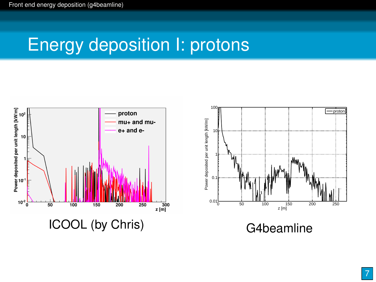## Energy deposition I: protons



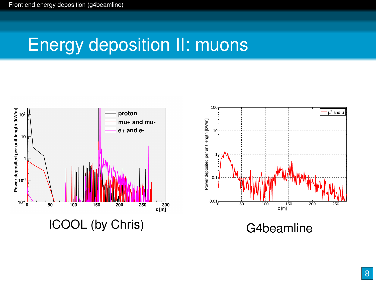# Energy deposition II: muons